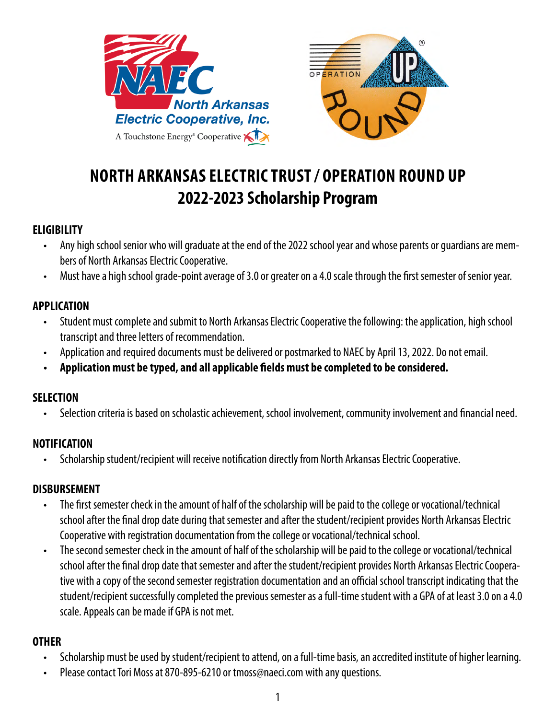



# **NORTH ARKANSAS ELECTRIC TRUST / OPERATION ROUND UP 2022-2023 Scholarship Program**

### **ELIGIBILITY**

- Any high school senior who will graduate at the end of the 2022 school year and whose parents or guardians are members of North Arkansas Electric Cooperative.
- Must have a high school grade-point average of 3.0 or greater on a 4.0 scale through the first semester of senior year.

### **APPLICATION**

- Student must complete and submit to North Arkansas Electric Cooperative the following: the application, high school transcript and three letters of recommendation.
- Application and required documents must be delivered or postmarked to NAEC by April 13, 2022. Do not email.
- **• Application must be typed, and all applicable fields must be completed to be considered.**

#### **SELECTION**

• Selection criteria is based on scholastic achievement, school involvement, community involvement and financial need.

#### **NOTIFICATION**

• Scholarship student/recipient will receive notification directly from North Arkansas Electric Cooperative.

#### **DISBURSEMENT**

- The first semester check in the amount of half of the scholarship will be paid to the college or vocational/technical school after the final drop date during that semester and after the student/recipient provides North Arkansas Electric Cooperative with registration documentation from the college or vocational/technical school.
- The second semester check in the amount of half of the scholarship will be paid to the college or vocational/technical school after the final drop date that semester and after the student/recipient provides North Arkansas Electric Cooperative with a copy of the second semester registration documentation and an official school transcript indicating that the student/recipient successfully completed the previous semester as a full-time student with a GPA of at least 3.0 on a 4.0 scale. Appeals can be made if GPA is not met.

#### **OTHER**

- Scholarship must be used by student/recipient to attend, on a full-time basis, an accredited institute of higher learning.
- Please contact Tori Moss at 870-895-6210 or tmoss@naeci.com with any questions.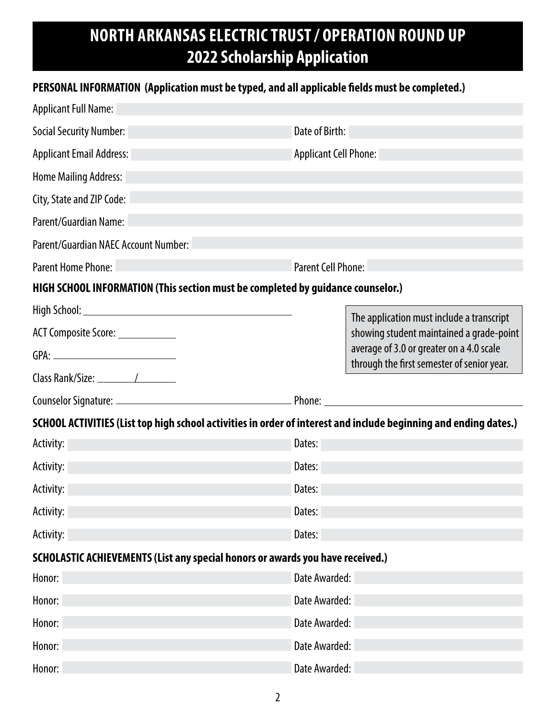# **NORTH ARKANSAS ELECTRIC TRUST / OPERATION ROUND UP 2022 Scholarship Application**

### **PERSONAL INFORMATION (Application must be typed, and all applicable fields must be completed.)**

| <b>Applicant Full Name:</b>                                                                                      |                                                                                                                                                                                 |  |  |  |  |  |
|------------------------------------------------------------------------------------------------------------------|---------------------------------------------------------------------------------------------------------------------------------------------------------------------------------|--|--|--|--|--|
| <b>Social Security Number:</b>                                                                                   | Date of Birth:                                                                                                                                                                  |  |  |  |  |  |
| <b>Applicant Email Address:</b>                                                                                  | <b>Applicant Cell Phone:</b>                                                                                                                                                    |  |  |  |  |  |
| <b>Home Mailing Address:</b>                                                                                     |                                                                                                                                                                                 |  |  |  |  |  |
| City, State and ZIP Code:                                                                                        |                                                                                                                                                                                 |  |  |  |  |  |
| Parent/Guardian Name:                                                                                            |                                                                                                                                                                                 |  |  |  |  |  |
| Parent/Guardian NAEC Account Number:                                                                             |                                                                                                                                                                                 |  |  |  |  |  |
| <b>Parent Home Phone:</b>                                                                                        | Parent Cell Phone:                                                                                                                                                              |  |  |  |  |  |
| HIGH SCHOOL INFORMATION (This section must be completed by guidance counselor.)                                  |                                                                                                                                                                                 |  |  |  |  |  |
| ACT Composite Score: _____________                                                                               | The application must include a transcript<br>showing student maintained a grade-point<br>average of 3.0 or greater on a 4.0 scale<br>through the first semester of senior year. |  |  |  |  |  |
|                                                                                                                  |                                                                                                                                                                                 |  |  |  |  |  |
| SCHOOL ACTIVITIES (List top high school activities in order of interest and include beginning and ending dates.) |                                                                                                                                                                                 |  |  |  |  |  |
|                                                                                                                  |                                                                                                                                                                                 |  |  |  |  |  |
| Activity:                                                                                                        | Dates:                                                                                                                                                                          |  |  |  |  |  |
| Activity:                                                                                                        | Dates:                                                                                                                                                                          |  |  |  |  |  |
| Activity:                                                                                                        | Dates:                                                                                                                                                                          |  |  |  |  |  |
| Activity:                                                                                                        | Dates:                                                                                                                                                                          |  |  |  |  |  |
| Activity:                                                                                                        | Dates:                                                                                                                                                                          |  |  |  |  |  |
| SCHOLASTIC ACHIEVEMENTS (List any special honors or awards you have received.)                                   |                                                                                                                                                                                 |  |  |  |  |  |
| Honor:                                                                                                           | Date Awarded:                                                                                                                                                                   |  |  |  |  |  |
| Honor:                                                                                                           | Date Awarded:                                                                                                                                                                   |  |  |  |  |  |
| Honor:                                                                                                           | Date Awarded:                                                                                                                                                                   |  |  |  |  |  |
| Honor:                                                                                                           | Date Awarded:                                                                                                                                                                   |  |  |  |  |  |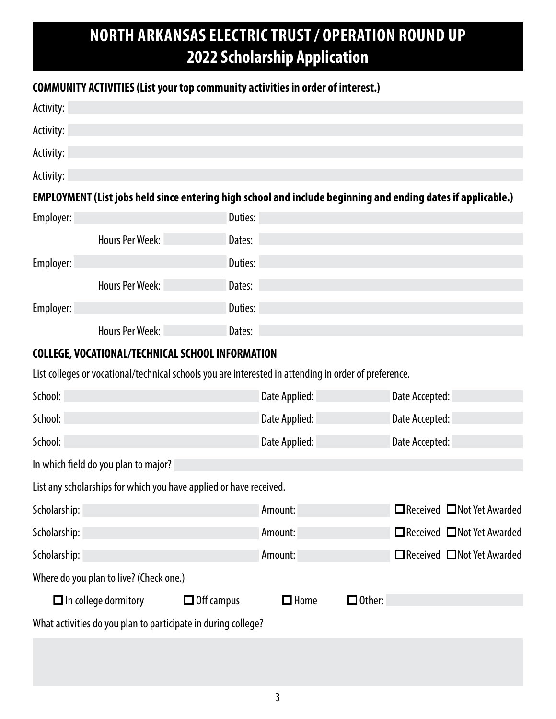# **NORTH ARKANSAS ELECTRIC TRUST / OPERATION ROUND UP 2022 Scholarship Application**

## **COMMUNITY ACTIVITIES (List your top community activities in order of interest.)**

| Activity:                                                                                                    |                             |                   |               |               |                |                                        |
|--------------------------------------------------------------------------------------------------------------|-----------------------------|-------------------|---------------|---------------|----------------|----------------------------------------|
| Activity:                                                                                                    |                             |                   |               |               |                |                                        |
| Activity:                                                                                                    |                             |                   |               |               |                |                                        |
| Activity:                                                                                                    |                             |                   |               |               |                |                                        |
| EMPLOYMENT (List jobs held since entering high school and include beginning and ending dates if applicable.) |                             |                   |               |               |                |                                        |
| Employer:                                                                                                    |                             | Duties:           |               |               |                |                                        |
|                                                                                                              | <b>Hours Per Week:</b>      | Dates:            |               |               |                |                                        |
| Employer:                                                                                                    |                             | Duties:           |               |               |                |                                        |
|                                                                                                              | <b>Hours Per Week:</b>      | Dates:            |               |               |                |                                        |
| Employer:                                                                                                    |                             | Duties:           |               |               |                |                                        |
|                                                                                                              | <b>Hours Per Week:</b>      | Dates:            |               |               |                |                                        |
| COLLEGE, VOCATIONAL/TECHNICAL SCHOOL INFORMATION                                                             |                             |                   |               |               |                |                                        |
| List colleges or vocational/technical schools you are interested in attending in order of preference.        |                             |                   |               |               |                |                                        |
| School:                                                                                                      |                             |                   | Date Applied: |               | Date Accepted: |                                        |
| School:                                                                                                      |                             |                   | Date Applied: |               | Date Accepted: |                                        |
| School:                                                                                                      |                             |                   | Date Applied: |               | Date Accepted: |                                        |
| In which field do you plan to major?                                                                         |                             |                   |               |               |                |                                        |
| List any scholarships for which you have applied or have received.                                           |                             |                   |               |               |                |                                        |
| Scholarship:                                                                                                 |                             |                   | Amount:       |               |                | □ Received □ Not Yet Awarded           |
| Scholarship:                                                                                                 |                             |                   | Amount:       |               |                | □ Received □ Not Yet Awarded           |
| Scholarship:                                                                                                 |                             |                   | Amount:       |               |                | $\Box$ Received $\Box$ Not Yet Awarded |
| Where do you plan to live? (Check one.)                                                                      |                             |                   |               |               |                |                                        |
|                                                                                                              | $\Box$ In college dormitory | $\Box$ Off campus | $\Box$ Home   | $\Box$ Other: |                |                                        |
| What activities do you plan to participate in during college?                                                |                             |                   |               |               |                |                                        |